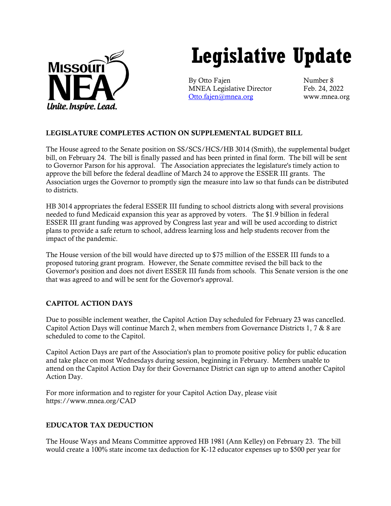

# **Legislative Update**

By Otto Fajen Number 8 MNEA Legislative Director Feb. 24, 2022 [Otto.fajen@mnea.org](mailto:Otto.fajen@mnea.org) www.mnea.org

## LEGISLATURE COMPLETES ACTION ON SUPPLEMENTAL BUDGET BILL

The House agreed to the Senate position on SS/SCS/HCS/HB 3014 (Smith), the supplemental budget bill, on February 24. The bill is finally passed and has been printed in final form. The bill will be sent to Governor Parson for his approval. The Association appreciates the legislature's timely action to approve the bill before the federal deadline of March 24 to approve the ESSER III grants. The Association urges the Governor to promptly sign the measure into law so that funds can be distributed to districts.

HB 3014 appropriates the federal ESSER III funding to school districts along with several provisions needed to fund Medicaid expansion this year as approved by voters. The \$1.9 billion in federal ESSER III grant funding was approved by Congress last year and will be used according to district plans to provide a safe return to school, address learning loss and help students recover from the impact of the pandemic.

The House version of the bill would have directed up to \$75 million of the ESSER III funds to a proposed tutoring grant program. However, the Senate committee revised the bill back to the Governor's position and does not divert ESSER III funds from schools. This Senate version is the one that was agreed to and will be sent for the Governor's approval.

### CAPITOL ACTION DAYS

Due to possible inclement weather, the Capitol Action Day scheduled for February 23 was cancelled. Capitol Action Days will continue March 2, when members from Governance Districts 1, 7 & 8 are scheduled to come to the Capitol.

Capitol Action Days are part of the Association's plan to promote positive policy for public education and take place on most Wednesdays during session, beginning in February. Members unable to attend on the Capitol Action Day for their Governance District can sign up to attend another Capitol Action Day.

For more information and to register for your Capitol Action Day, please visit https://www.mnea.org/CAD

## EDUCATOR TAX DEDUCTION

The House Ways and Means Committee approved HB 1981 (Ann Kelley) on February 23. The bill would create a 100% state income tax deduction for K-12 educator expenses up to \$500 per year for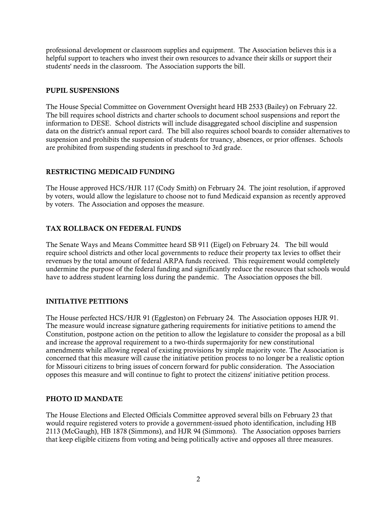professional development or classroom supplies and equipment. The Association believes this is a helpful support to teachers who invest their own resources to advance their skills or support their students' needs in the classroom. The Association supports the bill.

#### PUPIL SUSPENSIONS

The House Special Committee on Government Oversight heard HB 2533 (Bailey) on February 22. The bill requires school districts and charter schools to document school suspensions and report the information to DESE. School districts will include disaggregated school discipline and suspension data on the district's annual report card. The bill also requires school boards to consider alternatives to suspension and prohibits the suspension of students for truancy, absences, or prior offenses. Schools are prohibited from suspending students in preschool to 3rd grade.

#### RESTRICTING MEDICAID FUNDING

The House approved HCS/HJR 117 (Cody Smith) on February 24. The joint resolution, if approved by voters, would allow the legislature to choose not to fund Medicaid expansion as recently approved by voters. The Association and opposes the measure.

#### TAX ROLLBACK ON FEDERAL FUNDS

The Senate Ways and Means Committee heard SB 911 (Eigel) on February 24. The bill would require school districts and other local governments to reduce their property tax levies to offset their revenues by the total amount of federal ARPA funds received. This requirement would completely undermine the purpose of the federal funding and significantly reduce the resources that schools would have to address student learning loss during the pandemic. The Association opposes the bill.

#### INITIATIVE PETITIONS

The House perfected HCS/HJR 91 (Eggleston) on February 24. The Association opposes HJR 91. The measure would increase signature gathering requirements for initiative petitions to amend the Constitution, postpone action on the petition to allow the legislature to consider the proposal as a bill and increase the approval requirement to a two-thirds supermajority for new constitutional amendments while allowing repeal of existing provisions by simple majority vote. The Association is concerned that this measure will cause the initiative petition process to no longer be a realistic option for Missouri citizens to bring issues of concern forward for public consideration. The Association opposes this measure and will continue to fight to protect the citizens' initiative petition process.

#### PHOTO ID MANDATE

The House Elections and Elected Officials Committee approved several bills on February 23 that would require registered voters to provide a government-issued photo identification, including HB 2113 (McGaugh), HB 1878 (Simmons), and HJR 94 (Simmons). The Association opposes barriers that keep eligible citizens from voting and being politically active and opposes all three measures.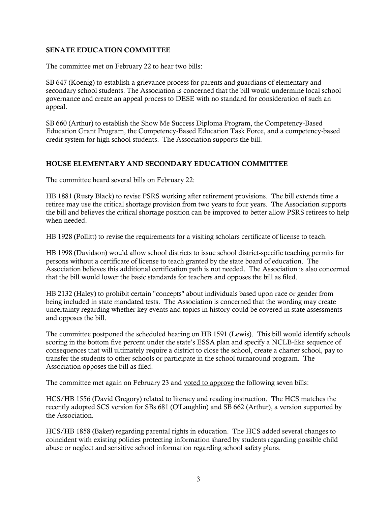#### SENATE EDUCATION COMMITTEE

The committee met on February 22 to hear two bills:

SB 647 (Koenig) to establish a grievance process for parents and guardians of elementary and secondary school students. The Association is concerned that the bill would undermine local school governance and create an appeal process to DESE with no standard for consideration of such an appeal.

SB 660 (Arthur) to establish the Show Me Success Diploma Program, the Competency-Based Education Grant Program, the Competency-Based Education Task Force, and a competency-based credit system for high school students. The Association supports the bill.

#### HOUSE ELEMENTARY AND SECONDARY EDUCATION COMMITTEE

The committee heard several bills on February 22:

HB 1881 (Rusty Black) to revise PSRS working after retirement provisions. The bill extends time a retiree may use the critical shortage provision from two years to four years. The Association supports the bill and believes the critical shortage position can be improved to better allow PSRS retirees to help when needed.

HB 1928 (Pollitt) to revise the requirements for a visiting scholars certificate of license to teach.

HB 1998 (Davidson) would allow school districts to issue school district-specific teaching permits for persons without a certificate of license to teach granted by the state board of education. The Association believes this additional certification path is not needed. The Association is also concerned that the bill would lower the basic standards for teachers and opposes the bill as filed.

HB 2132 (Haley) to prohibit certain "concepts" about individuals based upon race or gender from being included in state mandated tests. The Association is concerned that the wording may create uncertainty regarding whether key events and topics in history could be covered in state assessments and opposes the bill.

The committee postponed the scheduled hearing on HB 1591 (Lewis). This bill would identify schools scoring in the bottom five percent under the state's ESSA plan and specify a NCLB-like sequence of consequences that will ultimately require a district to close the school, create a charter school, pay to transfer the students to other schools or participate in the school turnaround program. The Association opposes the bill as filed.

The committee met again on February 23 and voted to approve the following seven bills:

HCS/HB 1556 (David Gregory) related to literacy and reading instruction. The HCS matches the recently adopted SCS version for SBs 681 (O'Laughlin) and SB 662 (Arthur), a version supported by the Association.

HCS/HB 1858 (Baker) regarding parental rights in education. The HCS added several changes to coincident with existing policies protecting information shared by students regarding possible child abuse or neglect and sensitive school information regarding school safety plans.